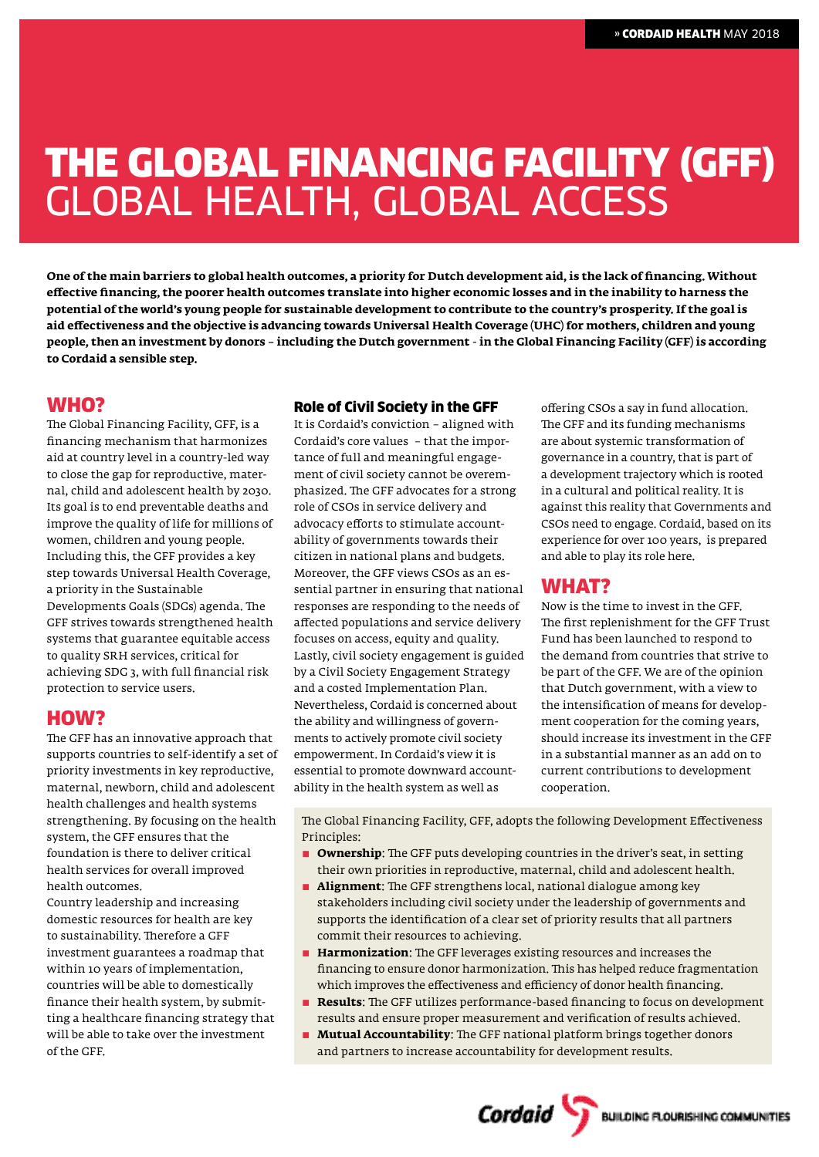# THE GLOBAL FINANCING FACILITY (GFF) GLOBAL HEALTH, GLOBAL ACCESS

**One of the main barriers to global health outcomes, a priority for Dutch development aid, is the lack of financing. Without effective financing, the poorer health outcomes translate into higher economic losses and in the inability to harness the potential of the world's young people for sustainable development to contribute to the country's prosperity. If the goal is aid effectiveness and the objective is advancing towards Universal Health Coverage (UHC) for mothers, children and young people, then an investment by donors – including the Dutch government - in the Global Financing Facility (GFF) is according to Cordaid a sensible step.**

# WHO?

The Global Financing Facility, GFF, is a financing mechanism that harmonizes aid at country level in a country-led way to close the gap for reproductive, maternal, child and adolescent health by 2030. Its goal is to end preventable deaths and improve the quality of life for millions of women, children and young people. Including this, the GFF provides a key step towards Universal Health Coverage, a priority in the Sustainable Developments Goals (SDGs) agenda. The GFF strives towards strengthened health systems that guarantee equitable access to quality SRH services, critical for achieving SDG 3, with full financial risk protection to service users.

# HOW?

The GFF has an innovative approach that supports countries to self-identify a set of priority investments in key reproductive, maternal, newborn, child and adolescent health challenges and health systems strengthening. By focusing on the health system, the GFF ensures that the foundation is there to deliver critical health services for overall improved health outcomes.

Country leadership and increasing domestic resources for health are key to sustainability. Therefore a GFF investment guarantees a roadmap that within 10 years of implementation, countries will be able to domestically finance their health system, by submitting a healthcare financing strategy that will be able to take over the investment of the GFF.

#### Role of Civil Society in the GFF

It is Cordaid's conviction – aligned with Cordaid's core values – that the importance of full and meaningful engagement of civil society cannot be overemphasized. The GFF advocates for a strong role of CSOs in service delivery and advocacy efforts to stimulate accountability of governments towards their citizen in national plans and budgets. Moreover, the GFF views CSOs as an essential partner in ensuring that national responses are responding to the needs of affected populations and service delivery focuses on access, equity and quality. Lastly, civil society engagement is guided by a Civil Society Engagement Strategy and a costed Implementation Plan. Nevertheless, Cordaid is concerned about the ability and willingness of governments to actively promote civil society empowerment. In Cordaid's view it is essential to promote downward accountability in the health system as well as

offering CSOs a say in fund allocation. The GFF and its funding mechanisms are about systemic transformation of governance in a country, that is part of a development trajectory which is rooted in a cultural and political reality. It is against this reality that Governments and CSOs need to engage. Cordaid, based on its experience for over 100 years, is prepared and able to play its role here.

# WHAT?

Now is the time to invest in the GFF. The first replenishment for the GFF Trust Fund has been launched to respond to the demand from countries that strive to be part of the GFF. We are of the opinion that Dutch government, with a view to the intensification of means for development cooperation for the coming years, should increase its investment in the GFF in a substantial manner as an add on to current contributions to development cooperation.

The Global Financing Facility, GFF, adopts the following Development Effectiveness Principles:

- **Ownership:** The GFF puts developing countries in the driver's seat, in setting their own priorities in reproductive, maternal, child and adolescent health.
- **EXTERNATION Alignment:** The GFF strengthens local, national dialogue among key stakeholders including civil society under the leadership of governments and supports the identification of a clear set of priority results that all partners commit their resources to achieving.
- **Harmonization**: The GFF leverages existing resources and increases the financing to ensure donor harmonization. This has helped reduce fragmentation which improves the effectiveness and efficiency of donor health financing.
- **Results:** The GFF utilizes performance-based financing to focus on development results and ensure proper measurement and verification of results achieved.
- **Mutual Accountability**: The GFF national platform brings together donors and partners to increase accountability for development results.